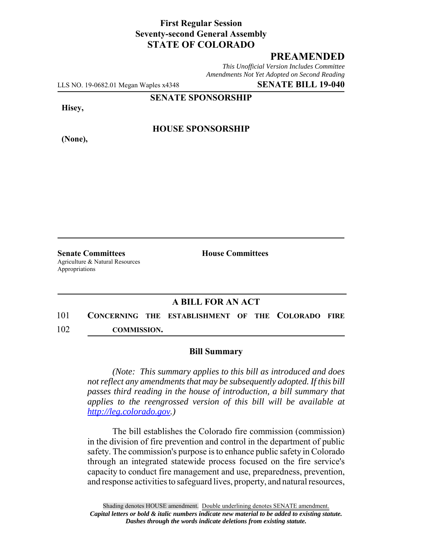## **First Regular Session Seventy-second General Assembly STATE OF COLORADO**

## **PREAMENDED**

*This Unofficial Version Includes Committee Amendments Not Yet Adopted on Second Reading*

LLS NO. 19-0682.01 Megan Waples x4348 **SENATE BILL 19-040**

**SENATE SPONSORSHIP**

**Hisey,**

**(None),**

**HOUSE SPONSORSHIP**

**Senate Committees House Committees** Agriculture & Natural Resources Appropriations

## **A BILL FOR AN ACT**

101 **CONCERNING THE ESTABLISHMENT OF THE COLORADO FIRE** 102 **COMMISSION.**

## **Bill Summary**

*(Note: This summary applies to this bill as introduced and does not reflect any amendments that may be subsequently adopted. If this bill passes third reading in the house of introduction, a bill summary that applies to the reengrossed version of this bill will be available at http://leg.colorado.gov.)*

The bill establishes the Colorado fire commission (commission) in the division of fire prevention and control in the department of public safety. The commission's purpose is to enhance public safety in Colorado through an integrated statewide process focused on the fire service's capacity to conduct fire management and use, preparedness, prevention, and response activities to safeguard lives, property, and natural resources,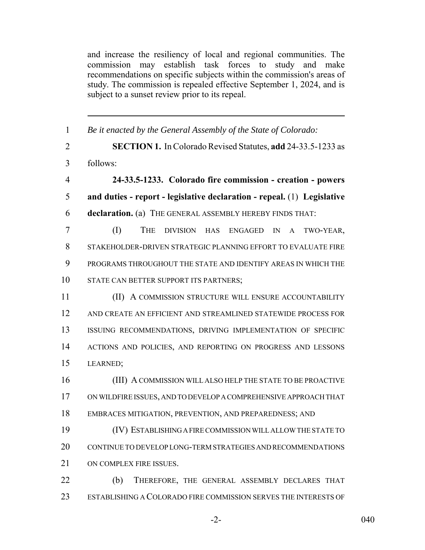and increase the resiliency of local and regional communities. The commission may establish task forces to study and make recommendations on specific subjects within the commission's areas of study. The commission is repealed effective September 1, 2024, and is subject to a sunset review prior to its repeal.

| $\mathbf{1}$   | Be it enacted by the General Assembly of the State of Colorado:         |
|----------------|-------------------------------------------------------------------------|
| $\overline{2}$ | <b>SECTION 1.</b> In Colorado Revised Statutes, add 24-33.5-1233 as     |
| 3              | follows:                                                                |
| $\overline{4}$ | 24-33.5-1233. Colorado fire commission - creation - powers              |
| 5              | and duties - report - legislative declaration - repeal. (1) Legislative |
| 6              | declaration. (a) THE GENERAL ASSEMBLY HEREBY FINDS THAT:                |
| $\overline{7}$ | (I)<br>THE<br>DIVISION HAS<br><b>ENGAGED</b><br>IN<br>TWO-YEAR,<br>A    |
| 8              | STAKEHOLDER-DRIVEN STRATEGIC PLANNING EFFORT TO EVALUATE FIRE           |
| 9              | PROGRAMS THROUGHOUT THE STATE AND IDENTIFY AREAS IN WHICH THE           |
| 10             | STATE CAN BETTER SUPPORT ITS PARTNERS;                                  |
| 11             | (II) A COMMISSION STRUCTURE WILL ENSURE ACCOUNTABILITY                  |
| 12             | AND CREATE AN EFFICIENT AND STREAMLINED STATEWIDE PROCESS FOR           |
| 13             | ISSUING RECOMMENDATIONS, DRIVING IMPLEMENTATION OF SPECIFIC             |
| 14             | ACTIONS AND POLICIES, AND REPORTING ON PROGRESS AND LESSONS             |
| 15             | LEARNED;                                                                |
| 16             | (III) A COMMISSION WILL ALSO HELP THE STATE TO BE PROACTIVE             |
| 17             | ON WILDFIRE ISSUES, AND TO DEVELOP A COMPREHENSIVE APPROACH THAT        |
| 18             | EMBRACES MITIGATION, PREVENTION, AND PREPAREDNESS; AND                  |
| 19             | (IV) ESTABLISHING A FIRE COMMISSION WILL ALLOW THE STATE TO             |
| 20             | CONTINUE TO DEVELOP LONG-TERM STRATEGIES AND RECOMMENDATIONS            |
| 21             | ON COMPLEX FIRE ISSUES.                                                 |
| 22             | (b)<br>THEREFORE, THE GENERAL ASSEMBLY DECLARES THAT                    |
| 23             | ESTABLISHING A COLORADO FIRE COMMISSION SERVES THE INTERESTS OF         |

-2- 040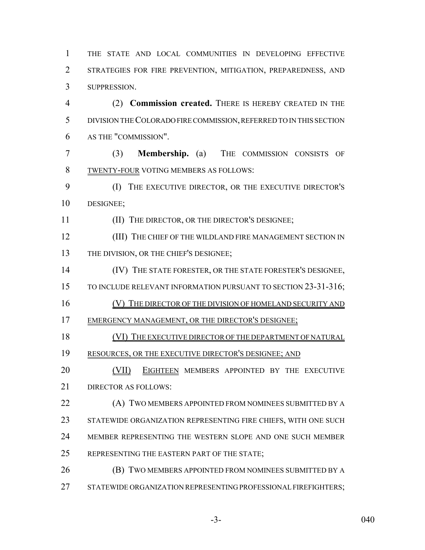THE STATE AND LOCAL COMMUNITIES IN DEVELOPING EFFECTIVE STRATEGIES FOR FIRE PREVENTION, MITIGATION, PREPAREDNESS, AND SUPPRESSION.

 (2) **Commission created.** THERE IS HEREBY CREATED IN THE DIVISION THE COLORADO FIRE COMMISSION, REFERRED TO IN THIS SECTION AS THE "COMMISSION".

 (3) **Membership.** (a) THE COMMISSION CONSISTS OF TWENTY-FOUR VOTING MEMBERS AS FOLLOWS:

 (I) THE EXECUTIVE DIRECTOR, OR THE EXECUTIVE DIRECTOR'S DESIGNEE;

(II) THE DIRECTOR, OR THE DIRECTOR'S DESIGNEE;

12 (III) THE CHIEF OF THE WILDLAND FIRE MANAGEMENT SECTION IN THE DIVISION, OR THE CHIEF'S DESIGNEE;

(IV) THE STATE FORESTER, OR THE STATE FORESTER'S DESIGNEE,

15 TO INCLUDE RELEVANT INFORMATION PURSUANT TO SECTION 23-31-316;

(V) THE DIRECTOR OF THE DIVISION OF HOMELAND SECURITY AND

EMERGENCY MANAGEMENT, OR THE DIRECTOR'S DESIGNEE;

(VI) THE EXECUTIVE DIRECTOR OF THE DEPARTMENT OF NATURAL

19 RESOURCES, OR THE EXECUTIVE DIRECTOR'S DESIGNEE; AND

**(VII) EIGHTEEN MEMBERS APPOINTED BY THE EXECUTIVE** DIRECTOR AS FOLLOWS:

**(A) TWO MEMBERS APPOINTED FROM NOMINEES SUBMITTED BY A**  STATEWIDE ORGANIZATION REPRESENTING FIRE CHIEFS, WITH ONE SUCH MEMBER REPRESENTING THE WESTERN SLOPE AND ONE SUCH MEMBER REPRESENTING THE EASTERN PART OF THE STATE;

**(B) TWO MEMBERS APPOINTED FROM NOMINEES SUBMITTED BY A** STATEWIDE ORGANIZATION REPRESENTING PROFESSIONAL FIREFIGHTERS;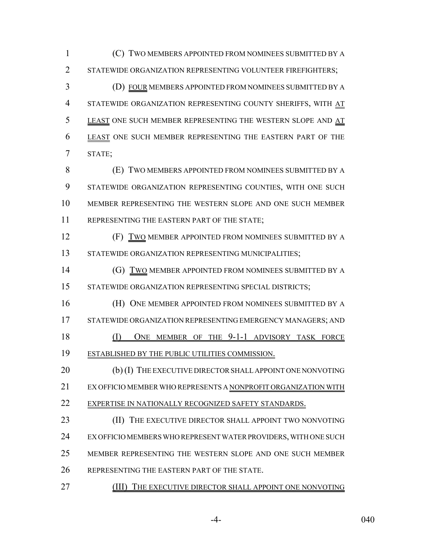(C) TWO MEMBERS APPOINTED FROM NOMINEES SUBMITTED BY A 2 STATEWIDE ORGANIZATION REPRESENTING VOLUNTEER FIREFIGHTERS;

 (D) FOUR MEMBERS APPOINTED FROM NOMINEES SUBMITTED BY A STATEWIDE ORGANIZATION REPRESENTING COUNTY SHERIFFS, WITH AT 5 LEAST ONE SUCH MEMBER REPRESENTING THE WESTERN SLOPE AND AT LEAST ONE SUCH MEMBER REPRESENTING THE EASTERN PART OF THE STATE;

 (E) TWO MEMBERS APPOINTED FROM NOMINEES SUBMITTED BY A STATEWIDE ORGANIZATION REPRESENTING COUNTIES, WITH ONE SUCH MEMBER REPRESENTING THE WESTERN SLOPE AND ONE SUCH MEMBER REPRESENTING THE EASTERN PART OF THE STATE;

**(F) TWO MEMBER APPOINTED FROM NOMINEES SUBMITTED BY A** 13 STATEWIDE ORGANIZATION REPRESENTING MUNICIPALITIES;

**(G) TWO MEMBER APPOINTED FROM NOMINEES SUBMITTED BY A** STATEWIDE ORGANIZATION REPRESENTING SPECIAL DISTRICTS;

**(H) ONE MEMBER APPOINTED FROM NOMINEES SUBMITTED BY A** 17 STATEWIDE ORGANIZATION REPRESENTING EMERGENCY MANAGERS; AND 18 (I) ONE MEMBER OF THE 9-1-1 ADVISORY TASK FORCE

ESTABLISHED BY THE PUBLIC UTILITIES COMMISSION.

20 (b) (I) THE EXECUTIVE DIRECTOR SHALL APPOINT ONE NONVOTING EX OFFICIO MEMBER WHO REPRESENTS A NONPROFIT ORGANIZATION WITH EXPERTISE IN NATIONALLY RECOGNIZED SAFETY STANDARDS.

**(II) THE EXECUTIVE DIRECTOR SHALL APPOINT TWO NONVOTING**  EX OFFICIO MEMBERS WHO REPRESENT WATER PROVIDERS, WITH ONE SUCH MEMBER REPRESENTING THE WESTERN SLOPE AND ONE SUCH MEMBER REPRESENTING THE EASTERN PART OF THE STATE.

(III) THE EXECUTIVE DIRECTOR SHALL APPOINT ONE NONVOTING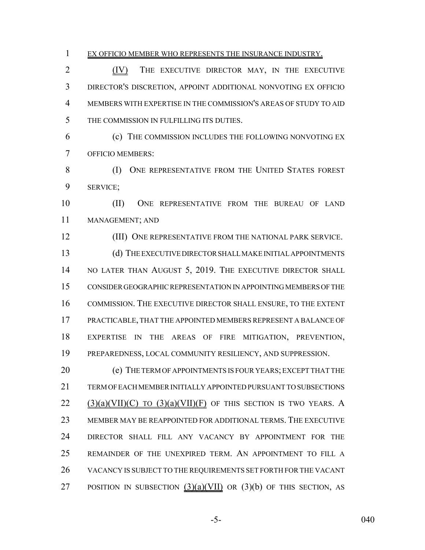- 
- EX OFFICIO MEMBER WHO REPRESENTS THE INSURANCE INDUSTRY.

 (IV) THE EXECUTIVE DIRECTOR MAY, IN THE EXECUTIVE DIRECTOR'S DISCRETION, APPOINT ADDITIONAL NONVOTING EX OFFICIO MEMBERS WITH EXPERTISE IN THE COMMISSION'S AREAS OF STUDY TO AID THE COMMISSION IN FULFILLING ITS DUTIES.

 (c) THE COMMISSION INCLUDES THE FOLLOWING NONVOTING EX OFFICIO MEMBERS:

 (I) ONE REPRESENTATIVE FROM THE UNITED STATES FOREST SERVICE;

 (II) ONE REPRESENTATIVE FROM THE BUREAU OF LAND MANAGEMENT; AND

 (III) ONE REPRESENTATIVE FROM THE NATIONAL PARK SERVICE. (d) THE EXECUTIVE DIRECTOR SHALL MAKE INITIAL APPOINTMENTS 14 NO LATER THAN AUGUST 5, 2019. THE EXECUTIVE DIRECTOR SHALL CONSIDER GEOGRAPHIC REPRESENTATION IN APPOINTING MEMBERS OF THE COMMISSION. THE EXECUTIVE DIRECTOR SHALL ENSURE, TO THE EXTENT PRACTICABLE, THAT THE APPOINTED MEMBERS REPRESENT A BALANCE OF EXPERTISE IN THE AREAS OF FIRE MITIGATION, PREVENTION, PREPAREDNESS, LOCAL COMMUNITY RESILIENCY, AND SUPPRESSION.

20 (e) THE TERM OF APPOINTMENTS IS FOUR YEARS; EXCEPT THAT THE TERM OF EACH MEMBER INITIALLY APPOINTED PURSUANT TO SUBSECTIONS (3)(a)(VII)(C) TO (3)(a)(VII)(F) OF THIS SECTION IS TWO YEARS. A MEMBER MAY BE REAPPOINTED FOR ADDITIONAL TERMS. THE EXECUTIVE DIRECTOR SHALL FILL ANY VACANCY BY APPOINTMENT FOR THE REMAINDER OF THE UNEXPIRED TERM. AN APPOINTMENT TO FILL A VACANCY IS SUBJECT TO THE REQUIREMENTS SET FORTH FOR THE VACANT 27 POSITION IN SUBSECTION  $(3)(a)(VII)$  OR  $(3)(b)$  OF THIS SECTION, AS

-5- 040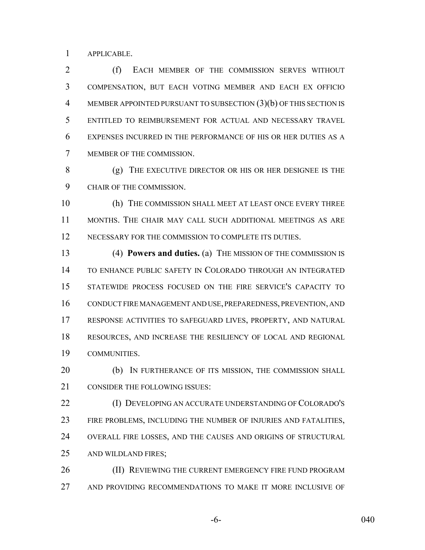APPLICABLE.

 (f) EACH MEMBER OF THE COMMISSION SERVES WITHOUT COMPENSATION, BUT EACH VOTING MEMBER AND EACH EX OFFICIO MEMBER APPOINTED PURSUANT TO SUBSECTION (3)(b) OF THIS SECTION IS ENTITLED TO REIMBURSEMENT FOR ACTUAL AND NECESSARY TRAVEL EXPENSES INCURRED IN THE PERFORMANCE OF HIS OR HER DUTIES AS A MEMBER OF THE COMMISSION.

 (g) THE EXECUTIVE DIRECTOR OR HIS OR HER DESIGNEE IS THE CHAIR OF THE COMMISSION.

 (h) THE COMMISSION SHALL MEET AT LEAST ONCE EVERY THREE MONTHS. THE CHAIR MAY CALL SUCH ADDITIONAL MEETINGS AS ARE 12 NECESSARY FOR THE COMMISSION TO COMPLETE ITS DUTIES.

 (4) **Powers and duties.** (a) THE MISSION OF THE COMMISSION IS TO ENHANCE PUBLIC SAFETY IN COLORADO THROUGH AN INTEGRATED STATEWIDE PROCESS FOCUSED ON THE FIRE SERVICE'S CAPACITY TO CONDUCT FIRE MANAGEMENT AND USE, PREPAREDNESS, PREVENTION, AND RESPONSE ACTIVITIES TO SAFEGUARD LIVES, PROPERTY, AND NATURAL RESOURCES, AND INCREASE THE RESILIENCY OF LOCAL AND REGIONAL COMMUNITIES.

20 (b) IN FURTHERANCE OF ITS MISSION, THE COMMISSION SHALL CONSIDER THE FOLLOWING ISSUES:

 (I) DEVELOPING AN ACCURATE UNDERSTANDING OF COLORADO'S FIRE PROBLEMS, INCLUDING THE NUMBER OF INJURIES AND FATALITIES, OVERALL FIRE LOSSES, AND THE CAUSES AND ORIGINS OF STRUCTURAL AND WILDLAND FIRES;

26 (II) REVIEWING THE CURRENT EMERGENCY FIRE FUND PROGRAM AND PROVIDING RECOMMENDATIONS TO MAKE IT MORE INCLUSIVE OF

-6- 040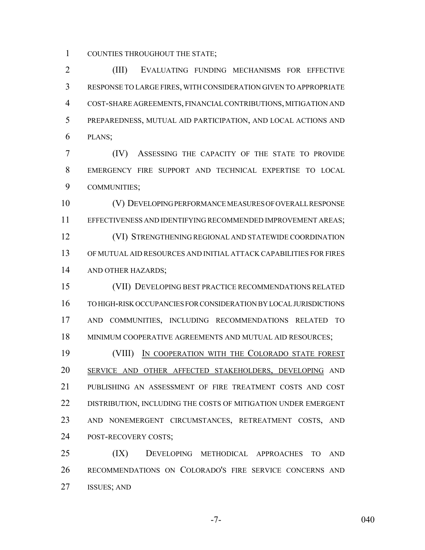COUNTIES THROUGHOUT THE STATE;

 (III) EVALUATING FUNDING MECHANISMS FOR EFFECTIVE RESPONSE TO LARGE FIRES, WITH CONSIDERATION GIVEN TO APPROPRIATE COST-SHARE AGREEMENTS, FINANCIAL CONTRIBUTIONS, MITIGATION AND PREPAREDNESS, MUTUAL AID PARTICIPATION, AND LOCAL ACTIONS AND PLANS;

 (IV) ASSESSING THE CAPACITY OF THE STATE TO PROVIDE EMERGENCY FIRE SUPPORT AND TECHNICAL EXPERTISE TO LOCAL COMMUNITIES;

 (V) DEVELOPING PERFORMANCE MEASURES OF OVERALL RESPONSE EFFECTIVENESS AND IDENTIFYING RECOMMENDED IMPROVEMENT AREAS; (VI) STRENGTHENING REGIONAL AND STATEWIDE COORDINATION OF MUTUAL AID RESOURCES AND INITIAL ATTACK CAPABILITIES FOR FIRES AND OTHER HAZARDS;

 (VII) DEVELOPING BEST PRACTICE RECOMMENDATIONS RELATED TO HIGH-RISK OCCUPANCIES FOR CONSIDERATION BY LOCAL JURISDICTIONS AND COMMUNITIES, INCLUDING RECOMMENDATIONS RELATED TO 18 MINIMUM COOPERATIVE AGREEMENTS AND MUTUAL AID RESOURCES;

**(VIII)** IN COOPERATION WITH THE COLORADO STATE FOREST SERVICE AND OTHER AFFECTED STAKEHOLDERS, DEVELOPING AND PUBLISHING AN ASSESSMENT OF FIRE TREATMENT COSTS AND COST DISTRIBUTION, INCLUDING THE COSTS OF MITIGATION UNDER EMERGENT AND NONEMERGENT CIRCUMSTANCES, RETREATMENT COSTS, AND POST-RECOVERY COSTS;

 (IX) DEVELOPING METHODICAL APPROACHES TO AND RECOMMENDATIONS ON COLORADO'S FIRE SERVICE CONCERNS AND ISSUES; AND

-7- 040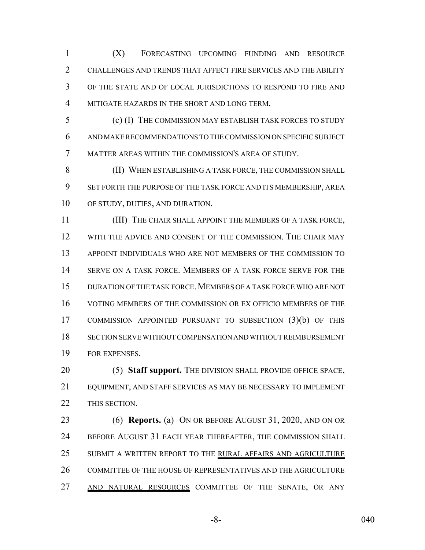(X) FORECASTING UPCOMING FUNDING AND RESOURCE CHALLENGES AND TRENDS THAT AFFECT FIRE SERVICES AND THE ABILITY OF THE STATE AND OF LOCAL JURISDICTIONS TO RESPOND TO FIRE AND MITIGATE HAZARDS IN THE SHORT AND LONG TERM.

 (c) (I) THE COMMISSION MAY ESTABLISH TASK FORCES TO STUDY AND MAKE RECOMMENDATIONS TO THE COMMISSION ON SPECIFIC SUBJECT MATTER AREAS WITHIN THE COMMISSION'S AREA OF STUDY.

 (II) WHEN ESTABLISHING A TASK FORCE, THE COMMISSION SHALL SET FORTH THE PURPOSE OF THE TASK FORCE AND ITS MEMBERSHIP, AREA OF STUDY, DUTIES, AND DURATION.

 (III) THE CHAIR SHALL APPOINT THE MEMBERS OF A TASK FORCE, WITH THE ADVICE AND CONSENT OF THE COMMISSION. THE CHAIR MAY APPOINT INDIVIDUALS WHO ARE NOT MEMBERS OF THE COMMISSION TO SERVE ON A TASK FORCE. MEMBERS OF A TASK FORCE SERVE FOR THE DURATION OF THE TASK FORCE.MEMBERS OF A TASK FORCE WHO ARE NOT VOTING MEMBERS OF THE COMMISSION OR EX OFFICIO MEMBERS OF THE COMMISSION APPOINTED PURSUANT TO SUBSECTION (3)(b) OF THIS SECTION SERVE WITHOUT COMPENSATION AND WITHOUT REIMBURSEMENT FOR EXPENSES.

 (5) **Staff support.** THE DIVISION SHALL PROVIDE OFFICE SPACE, EQUIPMENT, AND STAFF SERVICES AS MAY BE NECESSARY TO IMPLEMENT THIS SECTION.

 (6) **Reports.** (a) ON OR BEFORE AUGUST 31, 2020, AND ON OR 24 BEFORE AUGUST 31 EACH YEAR THEREAFTER, THE COMMISSION SHALL 25 SUBMIT A WRITTEN REPORT TO THE RURAL AFFAIRS AND AGRICULTURE COMMITTEE OF THE HOUSE OF REPRESENTATIVES AND THE AGRICULTURE 27 AND NATURAL RESOURCES COMMITTEE OF THE SENATE, OR ANY

-8- 040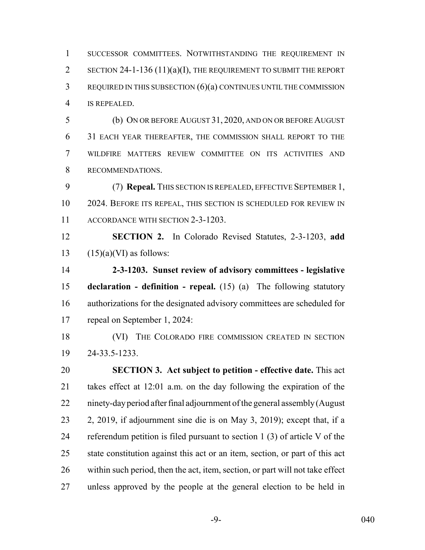SUCCESSOR COMMITTEES. NOTWITHSTANDING THE REQUIREMENT IN 2 SECTION 24-1-136 (11)(a)(I), THE REQUIREMENT TO SUBMIT THE REPORT REQUIRED IN THIS SUBSECTION (6)(a) CONTINUES UNTIL THE COMMISSION IS REPEALED.

 (b) ON OR BEFORE AUGUST 31, 2020, AND ON OR BEFORE AUGUST 31 EACH YEAR THEREAFTER, THE COMMISSION SHALL REPORT TO THE WILDFIRE MATTERS REVIEW COMMITTEE ON ITS ACTIVITIES AND RECOMMENDATIONS.

 (7) **Repeal.** THIS SECTION IS REPEALED, EFFECTIVE SEPTEMBER 1, 2024. BEFORE ITS REPEAL, THIS SECTION IS SCHEDULED FOR REVIEW IN 11 ACCORDANCE WITH SECTION 2-3-1203.

 **SECTION 2.** In Colorado Revised Statutes, 2-3-1203, **add** 13  $(15)(a)(VI)$  as follows:

 **2-3-1203. Sunset review of advisory committees - legislative declaration - definition - repeal.** (15) (a) The following statutory authorizations for the designated advisory committees are scheduled for repeal on September 1, 2024:

18 (VI) THE COLORADO FIRE COMMISSION CREATED IN SECTION 24-33.5-1233.

 **SECTION 3. Act subject to petition - effective date.** This act takes effect at 12:01 a.m. on the day following the expiration of the ninety-day period after final adjournment of the general assembly (August 2, 2019, if adjournment sine die is on May 3, 2019); except that, if a referendum petition is filed pursuant to section 1 (3) of article V of the state constitution against this act or an item, section, or part of this act within such period, then the act, item, section, or part will not take effect unless approved by the people at the general election to be held in